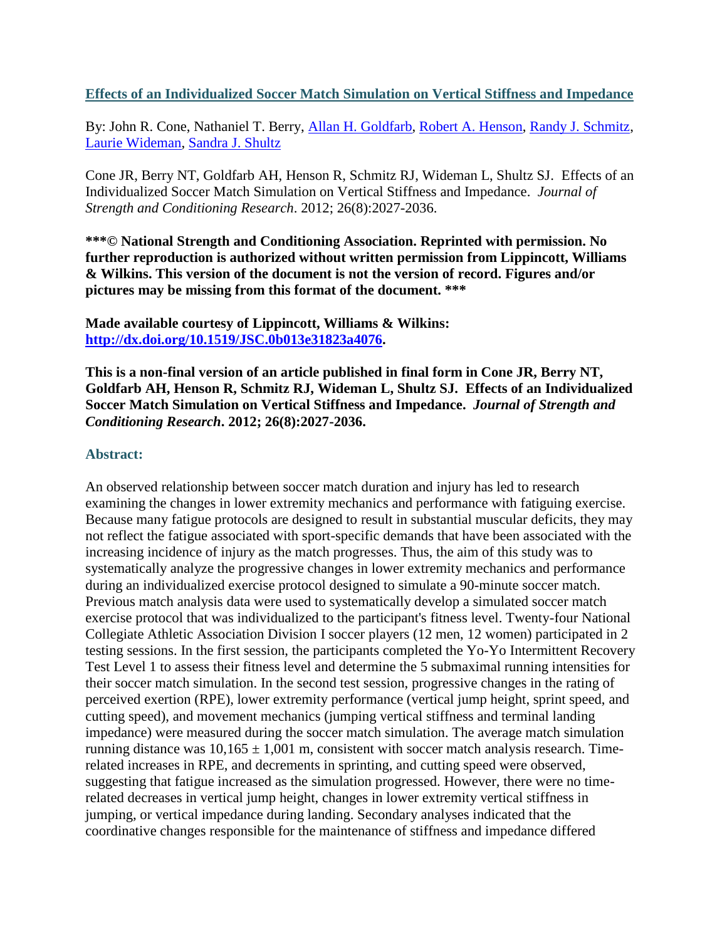**Effects of an Individualized Soccer Match Simulation on Vertical Stiffness and Impedance**

By: John R. Cone, Nathaniel T. Berry, [Allan H. Goldfarb,](http://libres.uncg.edu/ir/uncg/clist.aspx?id=1456) [Robert A. Henson,](http://libres.uncg.edu/ir/uncg/clist.aspx?id=938) [Randy J. Schmitz,](http://libres.uncg.edu/ir/uncg/clist.aspx?id=1436) [Laurie Wideman,](http://libres.uncg.edu/ir/uncg/clist.aspx?id=1444) [Sandra J. Shultz](https://libres.uncg.edu/ir/uncg/clist.aspx?id=2284)

Cone JR, Berry NT, Goldfarb AH, Henson R, Schmitz RJ, Wideman L, Shultz SJ. Effects of an Individualized Soccer Match Simulation on Vertical Stiffness and Impedance. *Journal of Strength and Conditioning Research*. 2012; 26(8):2027-2036.

**\*\*\*© National Strength and Conditioning Association. Reprinted with permission. No further reproduction is authorized without written permission from Lippincott, Williams & Wilkins. This version of the document is not the version of record. Figures and/or pictures may be missing from this format of the document. \*\*\***

**Made available courtesy of Lippincott, Williams & Wilkins: [http://dx.doi.org/10.1519/JSC.0b013e31823a4076.](http://dx.doi.org/10.1519/JSC.0b013e31823a4076)**

**This is a non-final version of an article published in final form in Cone JR, Berry NT, Goldfarb AH, Henson R, Schmitz RJ, Wideman L, Shultz SJ. Effects of an Individualized Soccer Match Simulation on Vertical Stiffness and Impedance.** *Journal of Strength and Conditioning Research***. 2012; 26(8):2027-2036.**

### **Abstract:**

An observed relationship between soccer match duration and injury has led to research examining the changes in lower extremity mechanics and performance with fatiguing exercise. Because many fatigue protocols are designed to result in substantial muscular deficits, they may not reflect the fatigue associated with sport-specific demands that have been associated with the increasing incidence of injury as the match progresses. Thus, the aim of this study was to systematically analyze the progressive changes in lower extremity mechanics and performance during an individualized exercise protocol designed to simulate a 90-minute soccer match. Previous match analysis data were used to systematically develop a simulated soccer match exercise protocol that was individualized to the participant's fitness level. Twenty-four National Collegiate Athletic Association Division I soccer players (12 men, 12 women) participated in 2 testing sessions. In the first session, the participants completed the Yo-Yo Intermittent Recovery Test Level 1 to assess their fitness level and determine the 5 submaximal running intensities for their soccer match simulation. In the second test session, progressive changes in the rating of perceived exertion (RPE), lower extremity performance (vertical jump height, sprint speed, and cutting speed), and movement mechanics (jumping vertical stiffness and terminal landing impedance) were measured during the soccer match simulation. The average match simulation running distance was  $10,165 \pm 1,001$  m, consistent with soccer match analysis research. Timerelated increases in RPE, and decrements in sprinting, and cutting speed were observed, suggesting that fatigue increased as the simulation progressed. However, there were no timerelated decreases in vertical jump height, changes in lower extremity vertical stiffness in jumping, or vertical impedance during landing. Secondary analyses indicated that the coordinative changes responsible for the maintenance of stiffness and impedance differed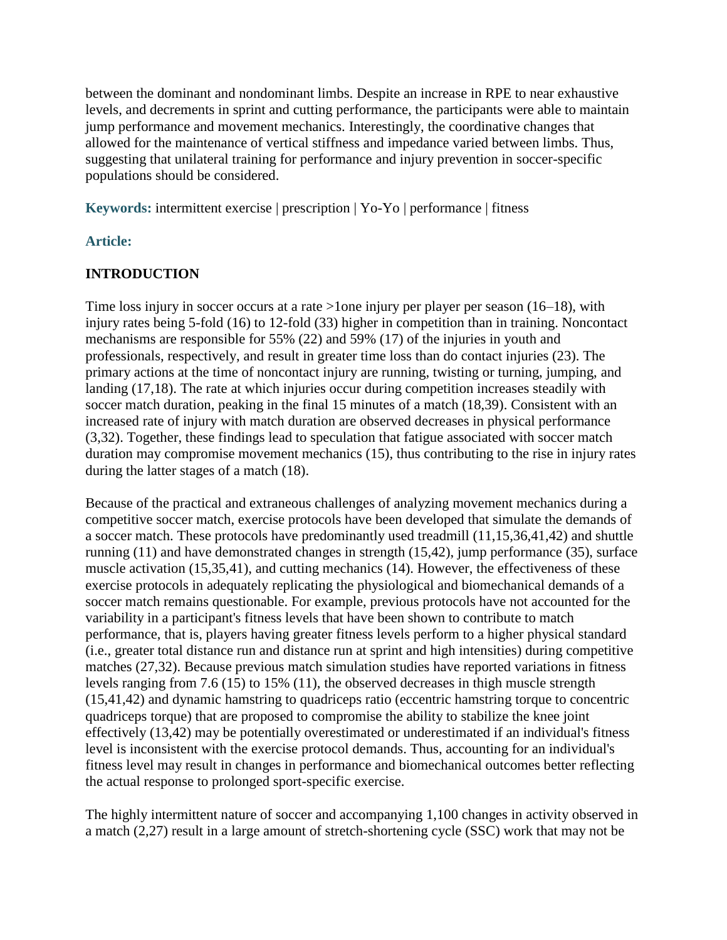between the dominant and nondominant limbs. Despite an increase in RPE to near exhaustive levels, and decrements in sprint and cutting performance, the participants were able to maintain jump performance and movement mechanics. Interestingly, the coordinative changes that allowed for the maintenance of vertical stiffness and impedance varied between limbs. Thus, suggesting that unilateral training for performance and injury prevention in soccer-specific populations should be considered.

**Keywords:** intermittent exercise | prescription | Yo-Yo | performance | fitness

# **Article:**

# **INTRODUCTION**

Time loss injury in soccer occurs at a rate >1one injury per player per season (16–18), with injury rates being 5-fold (16) to 12-fold (33) higher in competition than in training. Noncontact mechanisms are responsible for 55% (22) and 59% (17) of the injuries in youth and professionals, respectively, and result in greater time loss than do contact injuries (23). The primary actions at the time of noncontact injury are running, twisting or turning, jumping, and landing (17,18). The rate at which injuries occur during competition increases steadily with soccer match duration, peaking in the final 15 minutes of a match (18,39). Consistent with an increased rate of injury with match duration are observed decreases in physical performance (3,32). Together, these findings lead to speculation that fatigue associated with soccer match duration may compromise movement mechanics (15), thus contributing to the rise in injury rates during the latter stages of a match (18).

Because of the practical and extraneous challenges of analyzing movement mechanics during a competitive soccer match, exercise protocols have been developed that simulate the demands of a soccer match. These protocols have predominantly used treadmill (11,15,36,41,42) and shuttle running (11) and have demonstrated changes in strength (15,42), jump performance (35), surface muscle activation (15,35,41), and cutting mechanics (14). However, the effectiveness of these exercise protocols in adequately replicating the physiological and biomechanical demands of a soccer match remains questionable. For example, previous protocols have not accounted for the variability in a participant's fitness levels that have been shown to contribute to match performance, that is, players having greater fitness levels perform to a higher physical standard (i.e., greater total distance run and distance run at sprint and high intensities) during competitive matches (27,32). Because previous match simulation studies have reported variations in fitness levels ranging from 7.6 (15) to 15% (11), the observed decreases in thigh muscle strength (15,41,42) and dynamic hamstring to quadriceps ratio (eccentric hamstring torque to concentric quadriceps torque) that are proposed to compromise the ability to stabilize the knee joint effectively (13,42) may be potentially overestimated or underestimated if an individual's fitness level is inconsistent with the exercise protocol demands. Thus, accounting for an individual's fitness level may result in changes in performance and biomechanical outcomes better reflecting the actual response to prolonged sport-specific exercise.

The highly intermittent nature of soccer and accompanying 1,100 changes in activity observed in a match (2,27) result in a large amount of stretch-shortening cycle (SSC) work that may not be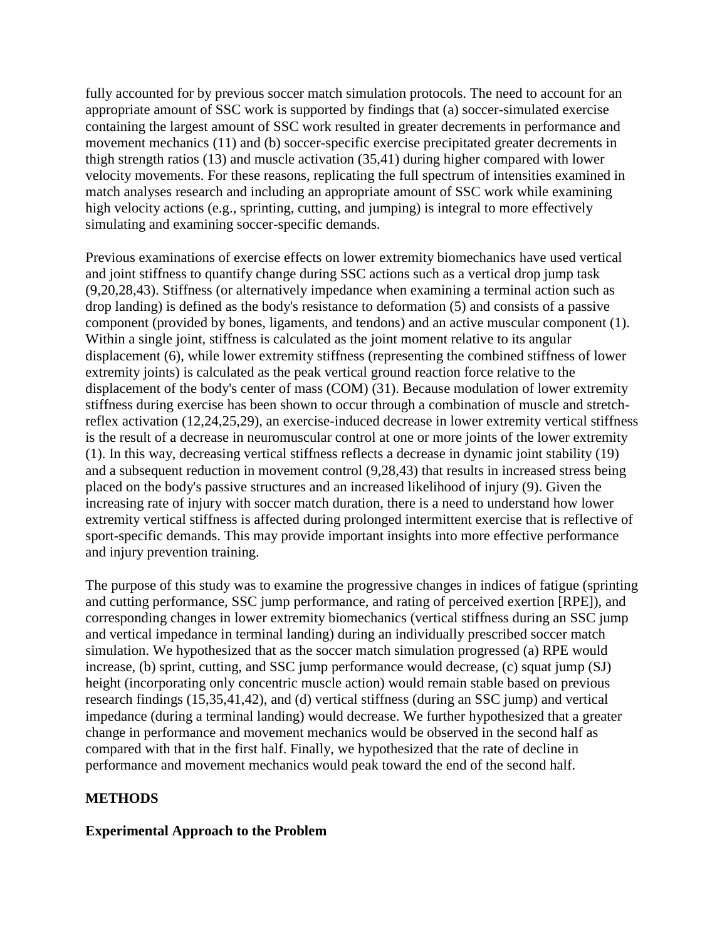fully accounted for by previous soccer match simulation protocols. The need to account for an appropriate amount of SSC work is supported by findings that (a) soccer-simulated exercise containing the largest amount of SSC work resulted in greater decrements in performance and movement mechanics (11) and (b) soccer-specific exercise precipitated greater decrements in thigh strength ratios (13) and muscle activation (35,41) during higher compared with lower velocity movements. For these reasons, replicating the full spectrum of intensities examined in match analyses research and including an appropriate amount of SSC work while examining high velocity actions (e.g., sprinting, cutting, and jumping) is integral to more effectively simulating and examining soccer-specific demands.

Previous examinations of exercise effects on lower extremity biomechanics have used vertical and joint stiffness to quantify change during SSC actions such as a vertical drop jump task (9,20,28,43). Stiffness (or alternatively impedance when examining a terminal action such as drop landing) is defined as the body's resistance to deformation (5) and consists of a passive component (provided by bones, ligaments, and tendons) and an active muscular component (1). Within a single joint, stiffness is calculated as the joint moment relative to its angular displacement (6), while lower extremity stiffness (representing the combined stiffness of lower extremity joints) is calculated as the peak vertical ground reaction force relative to the displacement of the body's center of mass (COM) (31). Because modulation of lower extremity stiffness during exercise has been shown to occur through a combination of muscle and stretchreflex activation (12,24,25,29), an exercise-induced decrease in lower extremity vertical stiffness is the result of a decrease in neuromuscular control at one or more joints of the lower extremity (1). In this way, decreasing vertical stiffness reflects a decrease in dynamic joint stability (19) and a subsequent reduction in movement control (9,28,43) that results in increased stress being placed on the body's passive structures and an increased likelihood of injury (9). Given the increasing rate of injury with soccer match duration, there is a need to understand how lower extremity vertical stiffness is affected during prolonged intermittent exercise that is reflective of sport-specific demands. This may provide important insights into more effective performance and injury prevention training.

The purpose of this study was to examine the progressive changes in indices of fatigue (sprinting and cutting performance, SSC jump performance, and rating of perceived exertion [RPE]), and corresponding changes in lower extremity biomechanics (vertical stiffness during an SSC jump and vertical impedance in terminal landing) during an individually prescribed soccer match simulation. We hypothesized that as the soccer match simulation progressed (a) RPE would increase, (b) sprint, cutting, and SSC jump performance would decrease, (c) squat jump (SJ) height (incorporating only concentric muscle action) would remain stable based on previous research findings (15,35,41,42), and (d) vertical stiffness (during an SSC jump) and vertical impedance (during a terminal landing) would decrease. We further hypothesized that a greater change in performance and movement mechanics would be observed in the second half as compared with that in the first half. Finally, we hypothesized that the rate of decline in performance and movement mechanics would peak toward the end of the second half.

### **METHODS**

#### **Experimental Approach to the Problem**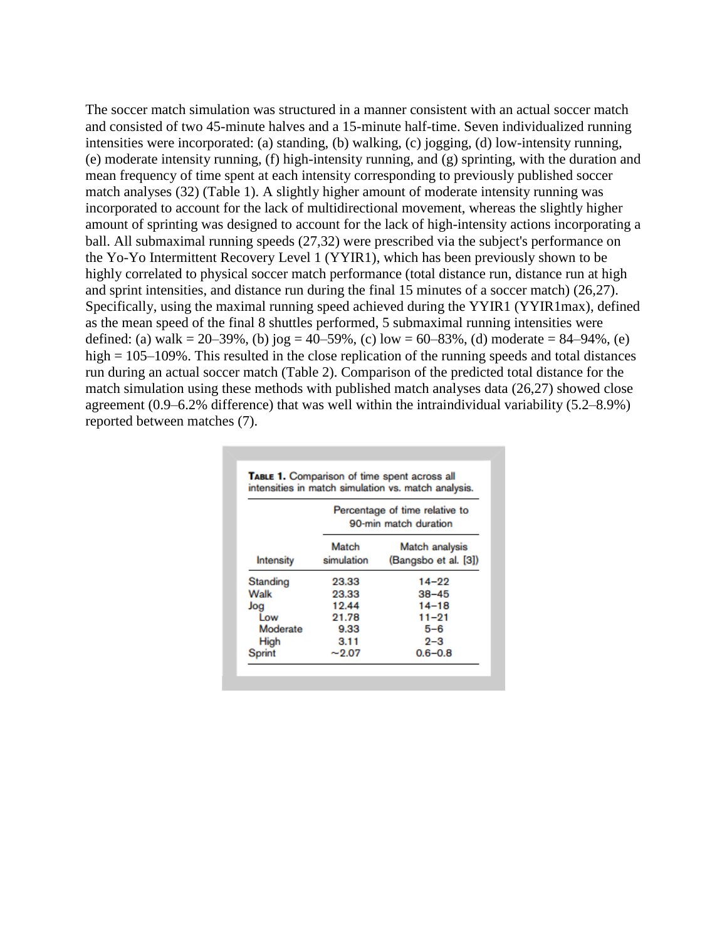The soccer match simulation was structured in a manner consistent with an actual soccer match and consisted of two 45-minute halves and a 15-minute half-time. Seven individualized running intensities were incorporated: (a) standing, (b) walking, (c) jogging, (d) low-intensity running, (e) moderate intensity running, (f) high-intensity running, and (g) sprinting, with the duration and mean frequency of time spent at each intensity corresponding to previously published soccer match analyses (32) (Table 1). A slightly higher amount of moderate intensity running was incorporated to account for the lack of multidirectional movement, whereas the slightly higher amount of sprinting was designed to account for the lack of high-intensity actions incorporating a ball. All submaximal running speeds (27,32) were prescribed via the subject's performance on the Yo-Yo Intermittent Recovery Level 1 (YYIR1), which has been previously shown to be highly correlated to physical soccer match performance (total distance run, distance run at high and sprint intensities, and distance run during the final 15 minutes of a soccer match) (26,27). Specifically, using the maximal running speed achieved during the YYIR1 (YYIR1max), defined as the mean speed of the final 8 shuttles performed, 5 submaximal running intensities were defined: (a) walk = 20–39%, (b) jog = 40–59%, (c) low = 60–83%, (d) moderate = 84–94%, (e) high = 105–109%. This resulted in the close replication of the running speeds and total distances run during an actual soccer match (Table 2). Comparison of the predicted total distance for the match simulation using these methods with published match analyses data (26,27) showed close agreement (0.9–6.2% difference) that was well within the intraindividual variability (5.2–8.9%) reported between matches (7).

|               | Percentage of time relative to<br>90-min match duration |                                                |  |  |  |  |
|---------------|---------------------------------------------------------|------------------------------------------------|--|--|--|--|
| Intensity     | Match<br>simulation                                     | Match analysis<br>(Bangsbo et al. [3])         |  |  |  |  |
| Standing      | 23.33                                                   | 14–22                                          |  |  |  |  |
| Walk          | 23.33                                                   | $38 - 45$<br>$14 - 18$<br>$11 - 21$<br>$5 - 6$ |  |  |  |  |
| Jog           | 19.44                                                   |                                                |  |  |  |  |
| Low           | 21.78                                                   |                                                |  |  |  |  |
| Moderate      | 9.33                                                    |                                                |  |  |  |  |
| High          | 3.11                                                    | $2 - 3$                                        |  |  |  |  |
| <b>Sprint</b> | $-2.07$                                                 | $0.6 - 0.8$                                    |  |  |  |  |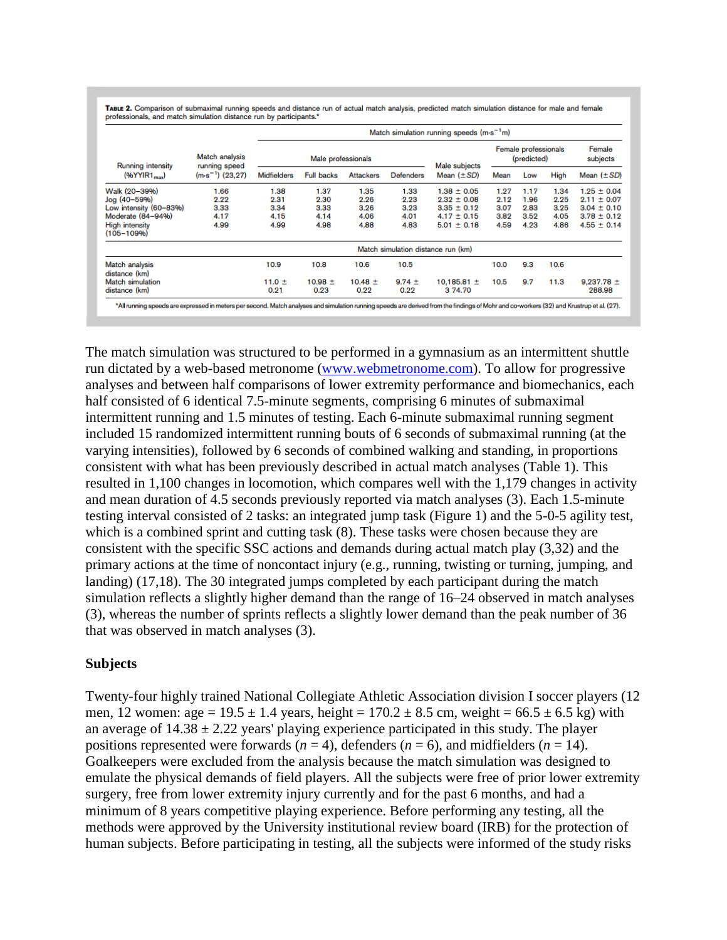| Running intensity<br>$(96$ YYIR1 <sub>mav</sub> ) | <b>Match analysis</b><br>running speed<br>$(m \cdot s^{-1})$ (23.27) | Match simulation running speeds $(m \cdot s^{-1}m)$ |                   |                  |                                    |                                     |      |      |                    |                 |
|---------------------------------------------------|----------------------------------------------------------------------|-----------------------------------------------------|-------------------|------------------|------------------------------------|-------------------------------------|------|------|--------------------|-----------------|
|                                                   |                                                                      | Male professionals                                  |                   |                  | Male subjects                      | Female professionals<br>(predicted) |      |      | Female<br>subjects |                 |
|                                                   |                                                                      | <b>Midfielders</b>                                  | <b>Full backs</b> | <b>Attackers</b> | <b>Defenders</b>                   | Mean $(\pm SD)$                     | Mean | Low  | High               | Mean $(\pm SD)$ |
| Walk (20-39%)                                     | 1.66                                                                 | 1.38                                                | 1.37              | 1.35             | 1.33                               | $1.38 \pm 0.05$                     | 1.27 | 1.17 | 1.34               | $1.25 \pm 0.04$ |
| Jog (40-59%)                                      | 2.22                                                                 | 2.31                                                | 2.30              | 2.26             | 2.23                               | $2.32 \pm 0.08$                     | 2.12 | 1.96 | 2.25               | $2.11 \pm 0.07$ |
| Low intensity (60-83%)                            | 3.33                                                                 | 3.34                                                | 3.33              | 3.26             | 3.23                               | $3.35 \pm 0.12$                     | 3.07 | 2.83 | 3.25               | $3.04 \pm 0.10$ |
| Moderate (84-94%)                                 | 4.17                                                                 | 4.15                                                | 4.14              | 4.06             | 4.01                               | $4.17 \pm 0.15$                     | 3.82 | 3.52 | 4.05               | $3.78 \pm 0.12$ |
| <b>High intensity</b><br>$(105 - 109%)$           | 4.99                                                                 | 4.99                                                | 4.98              | 4.88             | 4.83                               | $5.01 \pm 0.18$                     | 4.59 | 4.23 | 4.86               | $4.55 \pm 0.14$ |
|                                                   |                                                                      |                                                     |                   |                  | Match simulation distance run (km) |                                     |      |      |                    |                 |
| Match analysis<br>distance (km)                   |                                                                      | 10.9                                                | 10.8              | 10.6             | 10.5                               |                                     | 10.0 | 9.3  | 10.6               |                 |
| <b>Match simulation</b>                           |                                                                      | 11.0 $\pm$                                          | $10.98 \pm$       | $10.48 \pm$      | $9.74 \pm$                         | 10.185.81 $\pm$                     | 10.5 | 9.7  | 11.3               | $9.237.78 \pm$  |
| distance (km)                                     |                                                                      | 0.21                                                | 0.23              | 0.22             | 0.22                               | 3 74.70                             |      |      |                    | 288.98          |

The match simulation was structured to be performed in a gymnasium as an intermittent shuttle run dictated by a web-based metronome [\(www.webmetronome.com\)](http://www.webmetronome.com/). To allow for progressive analyses and between half comparisons of lower extremity performance and biomechanics, each half consisted of 6 identical 7.5-minute segments, comprising 6 minutes of submaximal intermittent running and 1.5 minutes of testing. Each 6-minute submaximal running segment included 15 randomized intermittent running bouts of 6 seconds of submaximal running (at the varying intensities), followed by 6 seconds of combined walking and standing, in proportions consistent with what has been previously described in actual match analyses (Table 1). This resulted in 1,100 changes in locomotion, which compares well with the 1,179 changes in activity and mean duration of 4.5 seconds previously reported via match analyses (3). Each 1.5-minute testing interval consisted of 2 tasks: an integrated jump task (Figure 1) and the 5-0-5 agility test, which is a combined sprint and cutting task  $(8)$ . These tasks were chosen because they are consistent with the specific SSC actions and demands during actual match play (3,32) and the primary actions at the time of noncontact injury (e.g., running, twisting or turning, jumping, and landing) (17,18). The 30 integrated jumps completed by each participant during the match simulation reflects a slightly higher demand than the range of 16–24 observed in match analyses (3), whereas the number of sprints reflects a slightly lower demand than the peak number of 36 that was observed in match analyses (3).

### **Subjects**

Twenty-four highly trained National Collegiate Athletic Association division I soccer players (12 men, 12 women: age =  $19.5 \pm 1.4$  years, height =  $170.2 \pm 8.5$  cm, weight =  $66.5 \pm 6.5$  kg) with an average of  $14.38 \pm 2.22$  years' playing experience participated in this study. The player positions represented were forwards  $(n = 4)$ , defenders  $(n = 6)$ , and midfielders  $(n = 14)$ . Goalkeepers were excluded from the analysis because the match simulation was designed to emulate the physical demands of field players. All the subjects were free of prior lower extremity surgery, free from lower extremity injury currently and for the past 6 months, and had a minimum of 8 years competitive playing experience. Before performing any testing, all the methods were approved by the University institutional review board (IRB) for the protection of human subjects. Before participating in testing, all the subjects were informed of the study risks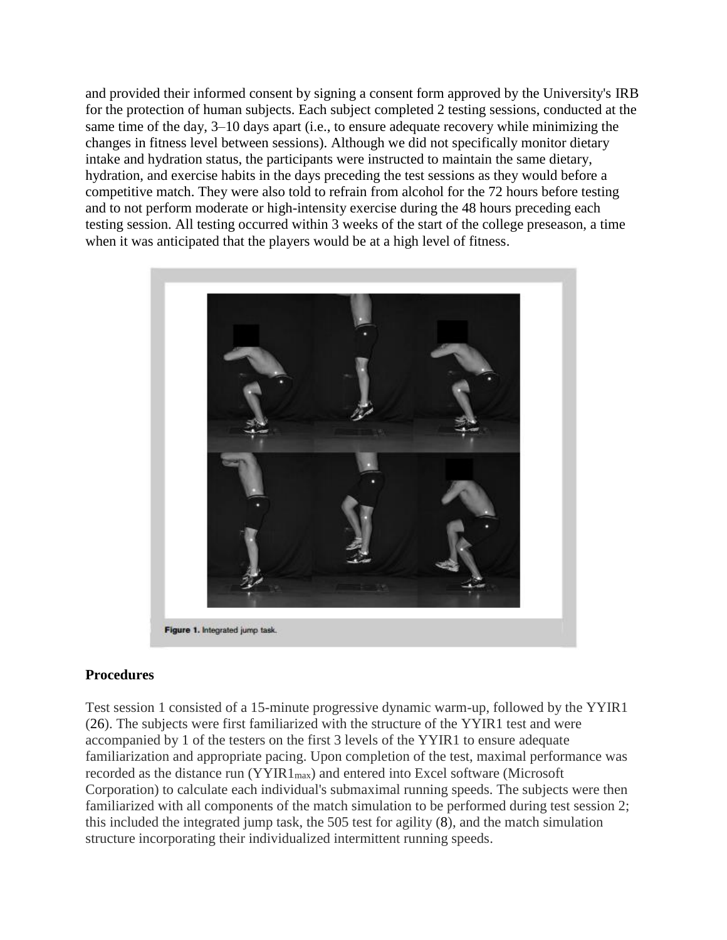and provided their informed consent by signing a consent form approved by the University's IRB for the protection of human subjects. Each subject completed 2 testing sessions, conducted at the same time of the day, 3–10 days apart (i.e., to ensure adequate recovery while minimizing the changes in fitness level between sessions). Although we did not specifically monitor dietary intake and hydration status, the participants were instructed to maintain the same dietary, hydration, and exercise habits in the days preceding the test sessions as they would before a competitive match. They were also told to refrain from alcohol for the 72 hours before testing and to not perform moderate or high-intensity exercise during the 48 hours preceding each testing session. All testing occurred within 3 weeks of the start of the college preseason, a time when it was anticipated that the players would be at a high level of fitness.



# **Procedures**

Test session 1 consisted of a 15-minute progressive dynamic warm-up, followed by the YYIR1 (26). The subjects were first familiarized with the structure of the YYIR1 test and were accompanied by 1 of the testers on the first 3 levels of the YYIR1 to ensure adequate familiarization and appropriate pacing. Upon completion of the test, maximal performance was recorded as the distance run  $(YYIR1_{max})$  and entered into Excel software (Microsoft Corporation) to calculate each individual's submaximal running speeds. The subjects were then familiarized with all components of the match simulation to be performed during test session 2; this included the integrated jump task, the 505 test for agility (8), and the match simulation structure incorporating their individualized intermittent running speeds.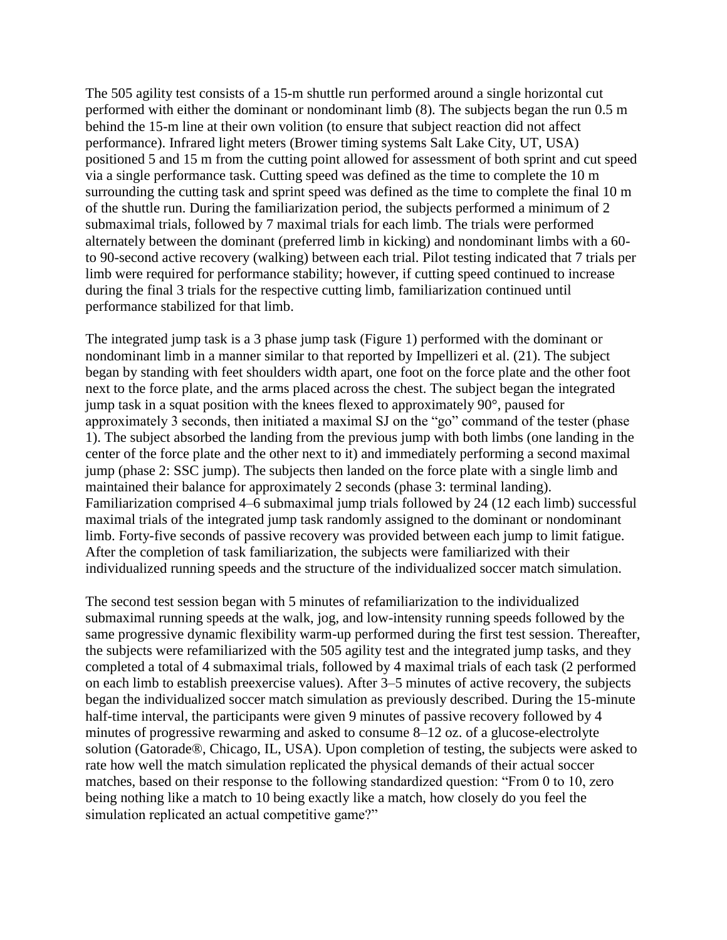The 505 agility test consists of a 15-m shuttle run performed around a single horizontal cut performed with either the dominant or nondominant limb (8). The subjects began the run 0.5 m behind the 15-m line at their own volition (to ensure that subject reaction did not affect performance). Infrared light meters (Brower timing systems Salt Lake City, UT, USA) positioned 5 and 15 m from the cutting point allowed for assessment of both sprint and cut speed via a single performance task. Cutting speed was defined as the time to complete the 10 m surrounding the cutting task and sprint speed was defined as the time to complete the final 10 m of the shuttle run. During the familiarization period, the subjects performed a minimum of 2 submaximal trials, followed by 7 maximal trials for each limb. The trials were performed alternately between the dominant (preferred limb in kicking) and nondominant limbs with a 60 to 90-second active recovery (walking) between each trial. Pilot testing indicated that 7 trials per limb were required for performance stability; however, if cutting speed continued to increase during the final 3 trials for the respective cutting limb, familiarization continued until performance stabilized for that limb.

The integrated jump task is a 3 phase jump task (Figure 1) performed with the dominant or nondominant limb in a manner similar to that reported by Impellizeri et al. (21). The subject began by standing with feet shoulders width apart, one foot on the force plate and the other foot next to the force plate, and the arms placed across the chest. The subject began the integrated jump task in a squat position with the knees flexed to approximately 90°, paused for approximately 3 seconds, then initiated a maximal SJ on the "go" command of the tester (phase 1). The subject absorbed the landing from the previous jump with both limbs (one landing in the center of the force plate and the other next to it) and immediately performing a second maximal jump (phase 2: SSC jump). The subjects then landed on the force plate with a single limb and maintained their balance for approximately 2 seconds (phase 3: terminal landing). Familiarization comprised 4–6 submaximal jump trials followed by 24 (12 each limb) successful maximal trials of the integrated jump task randomly assigned to the dominant or nondominant limb. Forty-five seconds of passive recovery was provided between each jump to limit fatigue. After the completion of task familiarization, the subjects were familiarized with their individualized running speeds and the structure of the individualized soccer match simulation.

The second test session began with 5 minutes of refamiliarization to the individualized submaximal running speeds at the walk, jog, and low-intensity running speeds followed by the same progressive dynamic flexibility warm-up performed during the first test session. Thereafter, the subjects were refamiliarized with the 505 agility test and the integrated jump tasks, and they completed a total of 4 submaximal trials, followed by 4 maximal trials of each task (2 performed on each limb to establish preexercise values). After 3–5 minutes of active recovery, the subjects began the individualized soccer match simulation as previously described. During the 15-minute half-time interval, the participants were given 9 minutes of passive recovery followed by 4 minutes of progressive rewarming and asked to consume 8–12 oz. of a glucose-electrolyte solution (Gatorade®, Chicago, IL, USA). Upon completion of testing, the subjects were asked to rate how well the match simulation replicated the physical demands of their actual soccer matches, based on their response to the following standardized question: "From 0 to 10, zero being nothing like a match to 10 being exactly like a match, how closely do you feel the simulation replicated an actual competitive game?"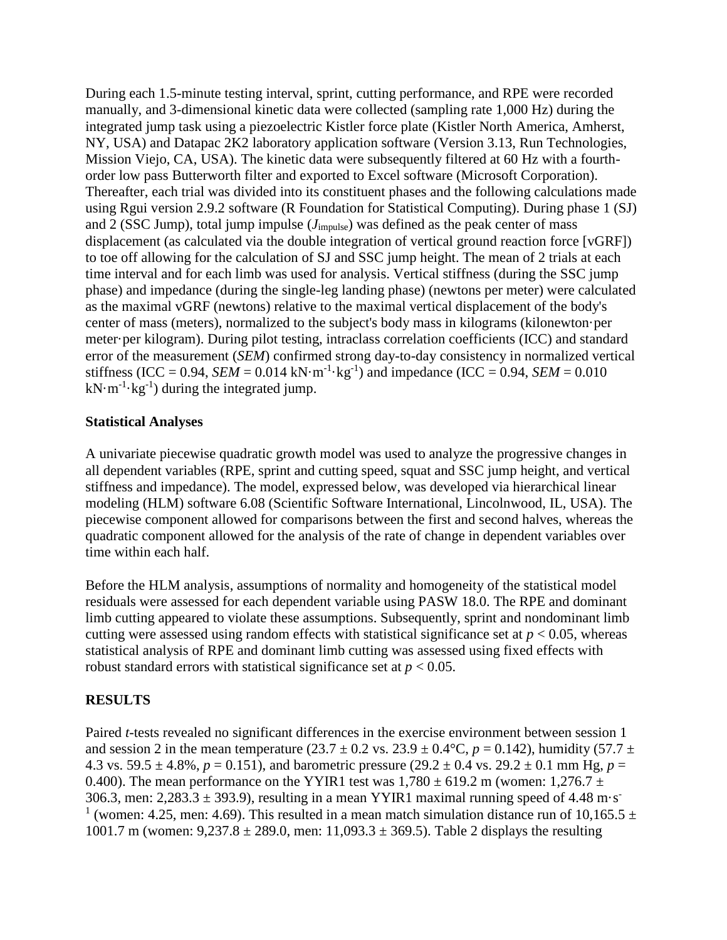During each 1.5-minute testing interval, sprint, cutting performance, and RPE were recorded manually, and 3-dimensional kinetic data were collected (sampling rate 1,000 Hz) during the integrated jump task using a piezoelectric Kistler force plate (Kistler North America, Amherst, NY, USA) and Datapac 2K2 laboratory application software (Version 3.13, Run Technologies, Mission Viejo, CA, USA). The kinetic data were subsequently filtered at 60 Hz with a fourthorder low pass Butterworth filter and exported to Excel software (Microsoft Corporation). Thereafter, each trial was divided into its constituent phases and the following calculations made using Rgui version 2.9.2 software (R Foundation for Statistical Computing). During phase 1 (SJ) and 2 (SSC Jump), total jump impulse (*J*impulse) was defined as the peak center of mass displacement (as calculated via the double integration of vertical ground reaction force [vGRF]) to toe off allowing for the calculation of SJ and SSC jump height. The mean of 2 trials at each time interval and for each limb was used for analysis. Vertical stiffness (during the SSC jump phase) and impedance (during the single-leg landing phase) (newtons per meter) were calculated as the maximal vGRF (newtons) relative to the maximal vertical displacement of the body's center of mass (meters), normalized to the subject's body mass in kilograms (kilonewton·per meter·per kilogram). During pilot testing, intraclass correlation coefficients (ICC) and standard error of the measurement (*SEM*) confirmed strong day-to-day consistency in normalized vertical stiffness (ICC = 0.94, *SEM* = 0.014 kN·m<sup>-1</sup>·kg<sup>-1</sup>) and impedance (ICC = 0.94, *SEM* = 0.010  $kN·m<sup>-1</sup>·kg<sup>-1</sup>$ ) during the integrated jump.

### **Statistical Analyses**

A univariate piecewise quadratic growth model was used to analyze the progressive changes in all dependent variables (RPE, sprint and cutting speed, squat and SSC jump height, and vertical stiffness and impedance). The model, expressed below, was developed via hierarchical linear modeling (HLM) software 6.08 (Scientific Software International, Lincolnwood, IL, USA). The piecewise component allowed for comparisons between the first and second halves, whereas the quadratic component allowed for the analysis of the rate of change in dependent variables over time within each half.

Before the HLM analysis, assumptions of normality and homogeneity of the statistical model residuals were assessed for each dependent variable using PASW 18.0. The RPE and dominant limb cutting appeared to violate these assumptions. Subsequently, sprint and nondominant limb cutting were assessed using random effects with statistical significance set at  $p < 0.05$ , whereas statistical analysis of RPE and dominant limb cutting was assessed using fixed effects with robust standard errors with statistical significance set at  $p < 0.05$ .

# **RESULTS**

Paired *t*-tests revealed no significant differences in the exercise environment between session 1 and session 2 in the mean temperature (23.7  $\pm$  0.2 vs. 23.9  $\pm$  0.4°C,  $p = 0.142$ ), humidity (57.7  $\pm$ 4.3 vs. 59.5  $\pm$  4.8%, *p* = 0.151), and barometric pressure (29.2  $\pm$  0.4 vs. 29.2  $\pm$  0.1 mm Hg, *p* = 0.400). The mean performance on the YYIR1 test was  $1,780 \pm 619.2$  m (women:  $1,276.7 \pm 100$ ) 306.3, men:  $2,283.3 \pm 393.9$ ), resulting in a mean YYIR1 maximal running speed of 4.48 m·s<sup>-</sup> <sup>1</sup> (women: 4.25, men: 4.69). This resulted in a mean match simulation distance run of 10,165.5  $\pm$ 1001.7 m (women:  $9,237.8 \pm 289.0$ , men:  $11,093.3 \pm 369.5$ ). Table 2 displays the resulting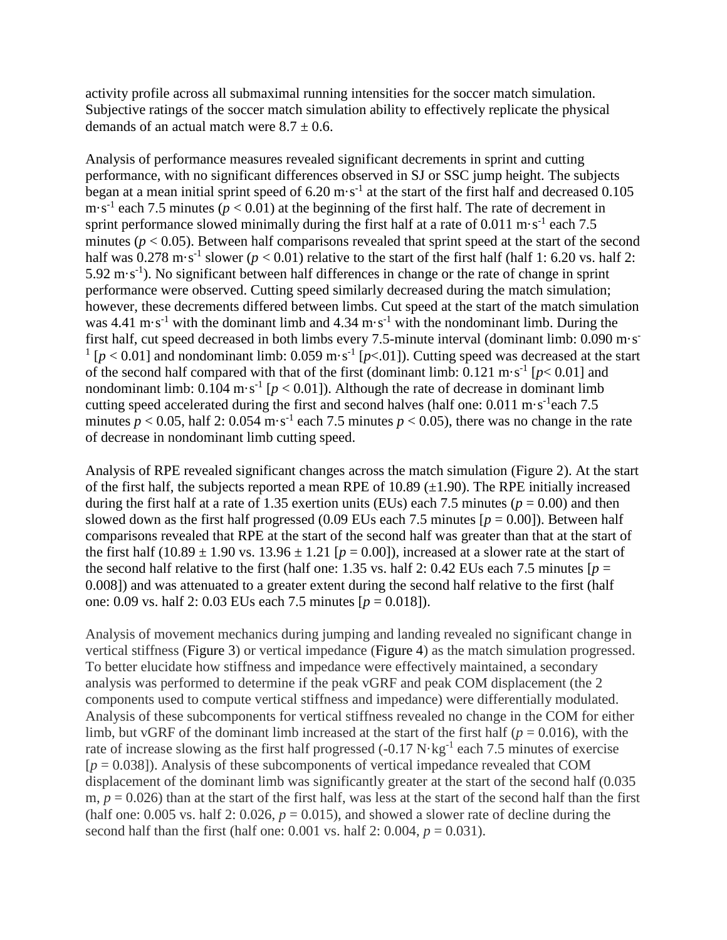activity profile across all submaximal running intensities for the soccer match simulation. Subjective ratings of the soccer match simulation ability to effectively replicate the physical demands of an actual match were  $8.7 \pm 0.6$ .

Analysis of performance measures revealed significant decrements in sprint and cutting performance, with no significant differences observed in SJ or SSC jump height. The subjects began at a mean initial sprint speed of 6.20 m $\cdot$  s<sup>-1</sup> at the start of the first half and decreased 0.105 m·s<sup>-1</sup> each 7.5 minutes ( $p < 0.01$ ) at the beginning of the first half. The rate of decrement in sprint performance slowed minimally during the first half at a rate of  $0.011 \text{ m} \cdot \text{s}^{-1}$  each 7.5 minutes ( $p < 0.05$ ). Between half comparisons revealed that sprint speed at the start of the second half was  $0.278 \text{ m} \cdot \text{s}^{-1}$  slower ( $p < 0.01$ ) relative to the start of the first half (half 1: 6.20 vs. half 2:  $5.92 \text{ m} \cdot \text{s}^{-1}$ ). No significant between half differences in change or the rate of change in sprint performance were observed. Cutting speed similarly decreased during the match simulation; however, these decrements differed between limbs. Cut speed at the start of the match simulation was 4.41 m·s<sup>-1</sup> with the dominant limb and 4.34 m·s<sup>-1</sup> with the nondominant limb. During the first half, cut speed decreased in both limbs every 7.5-minute interval (dominant limb: 0.090 m·s<sup>-</sup>  $\frac{1}{p}$  [ $p$  < 0.01] and nondominant limb: 0.059 m·s<sup>-1</sup> [ $p$  < 01]). Cutting speed was decreased at the start of the second half compared with that of the first (dominant limb:  $0.121 \text{ m} \cdot \text{s}^{-1}$  [ $p < 0.01$ ] and nondominant limb:  $0.104 \text{ m} \cdot \text{s}^{-1}$  [ $p < 0.01$ ]). Although the rate of decrease in dominant limb cutting speed accelerated during the first and second halves (half one:  $0.011 \text{ m} \cdot \text{s}^{-1}$ each 7.5 minutes  $p < 0.05$ , half 2: 0.054 m·s<sup>-1</sup> each 7.5 minutes  $p < 0.05$ ), there was no change in the rate of decrease in nondominant limb cutting speed.

Analysis of RPE revealed significant changes across the match simulation (Figure 2). At the start of the first half, the subjects reported a mean RPE of 10.89  $(\pm 1.90)$ . The RPE initially increased during the first half at a rate of 1.35 exertion units (EUs) each 7.5 minutes ( $p = 0.00$ ) and then slowed down as the first half progressed (0.09 EUs each 7.5 minutes  $[p = 0.00]$ ). Between half comparisons revealed that RPE at the start of the second half was greater than that at the start of the first half  $(10.89 \pm 1.90 \text{ vs. } 13.96 \pm 1.21 \text{ } [p = 0.00])$ , increased at a slower rate at the start of the second half relative to the first (half one: 1.35 vs. half 2: 0.42 EUs each 7.5 minutes  $[p =$ 0.008]) and was attenuated to a greater extent during the second half relative to the first (half one: 0.09 vs. half 2: 0.03 EUs each 7.5 minutes [*p* = 0.018]).

Analysis of movement mechanics during jumping and landing revealed no significant change in vertical stiffness (Figure 3) or vertical impedance (Figure 4) as the match simulation progressed. To better elucidate how stiffness and impedance were effectively maintained, a secondary analysis was performed to determine if the peak vGRF and peak COM displacement (the 2 components used to compute vertical stiffness and impedance) were differentially modulated. Analysis of these subcomponents for vertical stiffness revealed no change in the COM for either limb, but vGRF of the dominant limb increased at the start of the first half ( $p = 0.016$ ), with the rate of increase slowing as the first half progressed  $(-0.17 \text{ N} \cdot \text{kg}^{-1})$  each 7.5 minutes of exercise  $[p = 0.038]$ ). Analysis of these subcomponents of vertical impedance revealed that COM displacement of the dominant limb was significantly greater at the start of the second half  $(0.035)$ m,  $p = 0.026$ ) than at the start of the first half, was less at the start of the second half than the first (half one:  $0.005$  vs. half  $2: 0.026$ ,  $p = 0.015$ ), and showed a slower rate of decline during the second half than the first (half one:  $0.001$  vs. half  $2: 0.004$ ,  $p = 0.031$ ).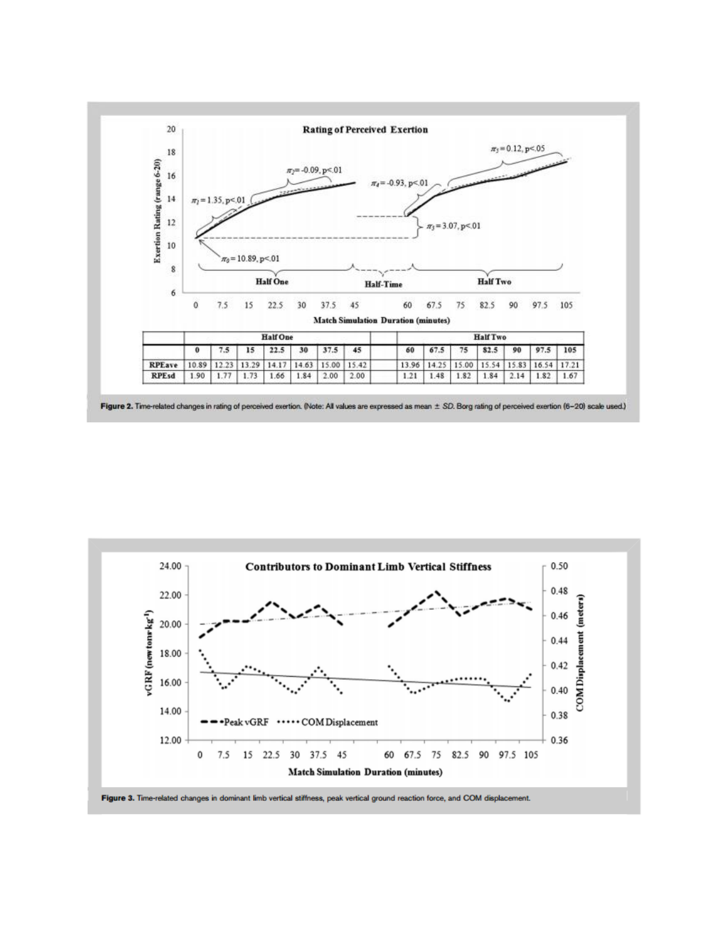

Figure 2. Time-related changes in rating of perceived exertion. (Note: All values are expressed as mean ± SD. Borg rating of perceived exertion (6-20) scale used.)

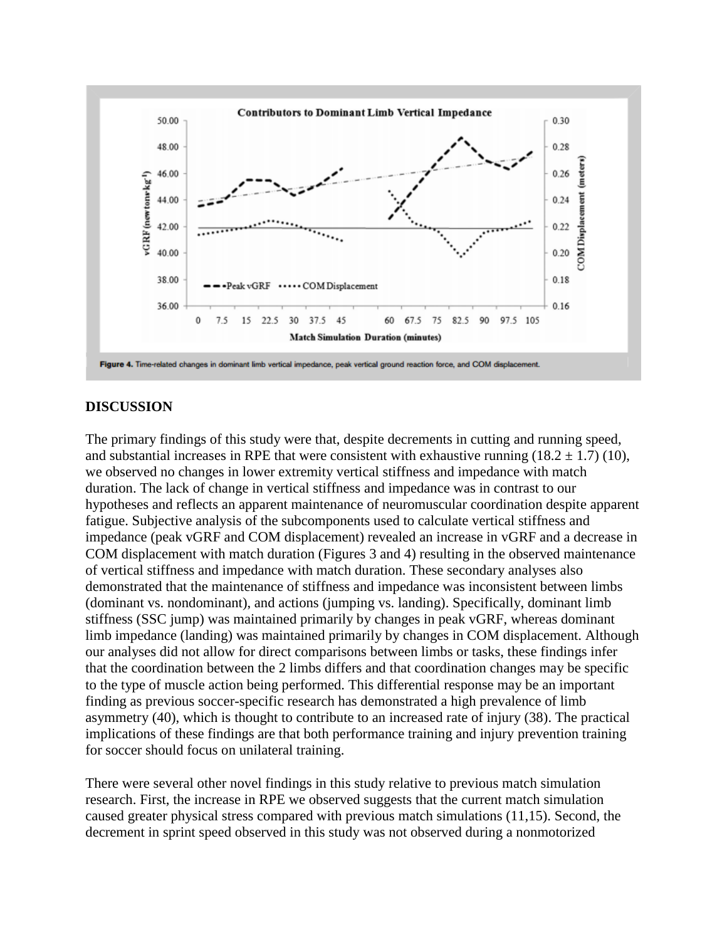

#### **DISCUSSION**

The primary findings of this study were that, despite decrements in cutting and running speed, and substantial increases in RPE that were consistent with exhaustive running  $(18.2 \pm 1.7)$  (10), we observed no changes in lower extremity vertical stiffness and impedance with match duration. The lack of change in vertical stiffness and impedance was in contrast to our hypotheses and reflects an apparent maintenance of neuromuscular coordination despite apparent fatigue. Subjective analysis of the subcomponents used to calculate vertical stiffness and impedance (peak vGRF and COM displacement) revealed an increase in vGRF and a decrease in COM displacement with match duration (Figures 3 and 4) resulting in the observed maintenance of vertical stiffness and impedance with match duration. These secondary analyses also demonstrated that the maintenance of stiffness and impedance was inconsistent between limbs (dominant vs. nondominant), and actions (jumping vs. landing). Specifically, dominant limb stiffness (SSC jump) was maintained primarily by changes in peak vGRF, whereas dominant limb impedance (landing) was maintained primarily by changes in COM displacement. Although our analyses did not allow for direct comparisons between limbs or tasks, these findings infer that the coordination between the 2 limbs differs and that coordination changes may be specific to the type of muscle action being performed. This differential response may be an important finding as previous soccer-specific research has demonstrated a high prevalence of limb asymmetry (40), which is thought to contribute to an increased rate of injury (38). The practical implications of these findings are that both performance training and injury prevention training for soccer should focus on unilateral training.

There were several other novel findings in this study relative to previous match simulation research. First, the increase in RPE we observed suggests that the current match simulation caused greater physical stress compared with previous match simulations (11,15). Second, the decrement in sprint speed observed in this study was not observed during a nonmotorized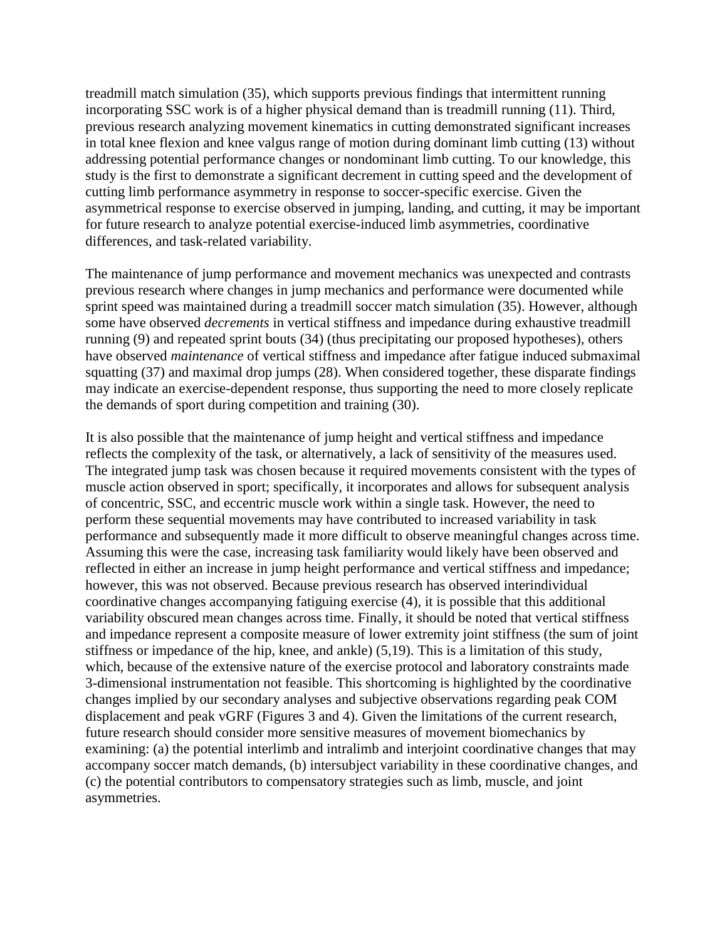treadmill match simulation (35), which supports previous findings that intermittent running incorporating SSC work is of a higher physical demand than is treadmill running (11). Third, previous research analyzing movement kinematics in cutting demonstrated significant increases in total knee flexion and knee valgus range of motion during dominant limb cutting (13) without addressing potential performance changes or nondominant limb cutting. To our knowledge, this study is the first to demonstrate a significant decrement in cutting speed and the development of cutting limb performance asymmetry in response to soccer-specific exercise. Given the asymmetrical response to exercise observed in jumping, landing, and cutting, it may be important for future research to analyze potential exercise-induced limb asymmetries, coordinative differences, and task-related variability.

The maintenance of jump performance and movement mechanics was unexpected and contrasts previous research where changes in jump mechanics and performance were documented while sprint speed was maintained during a treadmill soccer match simulation (35). However, although some have observed *decrements* in vertical stiffness and impedance during exhaustive treadmill running (9) and repeated sprint bouts (34) (thus precipitating our proposed hypotheses), others have observed *maintenance* of vertical stiffness and impedance after fatigue induced submaximal squatting (37) and maximal drop jumps (28). When considered together, these disparate findings may indicate an exercise-dependent response, thus supporting the need to more closely replicate the demands of sport during competition and training (30).

It is also possible that the maintenance of jump height and vertical stiffness and impedance reflects the complexity of the task, or alternatively, a lack of sensitivity of the measures used. The integrated jump task was chosen because it required movements consistent with the types of muscle action observed in sport; specifically, it incorporates and allows for subsequent analysis of concentric, SSC, and eccentric muscle work within a single task. However, the need to perform these sequential movements may have contributed to increased variability in task performance and subsequently made it more difficult to observe meaningful changes across time. Assuming this were the case, increasing task familiarity would likely have been observed and reflected in either an increase in jump height performance and vertical stiffness and impedance; however, this was not observed. Because previous research has observed interindividual coordinative changes accompanying fatiguing exercise (4), it is possible that this additional variability obscured mean changes across time. Finally, it should be noted that vertical stiffness and impedance represent a composite measure of lower extremity joint stiffness (the sum of joint stiffness or impedance of the hip, knee, and ankle) (5,19). This is a limitation of this study, which, because of the extensive nature of the exercise protocol and laboratory constraints made 3-dimensional instrumentation not feasible. This shortcoming is highlighted by the coordinative changes implied by our secondary analyses and subjective observations regarding peak COM displacement and peak vGRF (Figures 3 and 4). Given the limitations of the current research, future research should consider more sensitive measures of movement biomechanics by examining: (a) the potential interlimb and intralimb and interjoint coordinative changes that may accompany soccer match demands, (b) intersubject variability in these coordinative changes, and (c) the potential contributors to compensatory strategies such as limb, muscle, and joint asymmetries.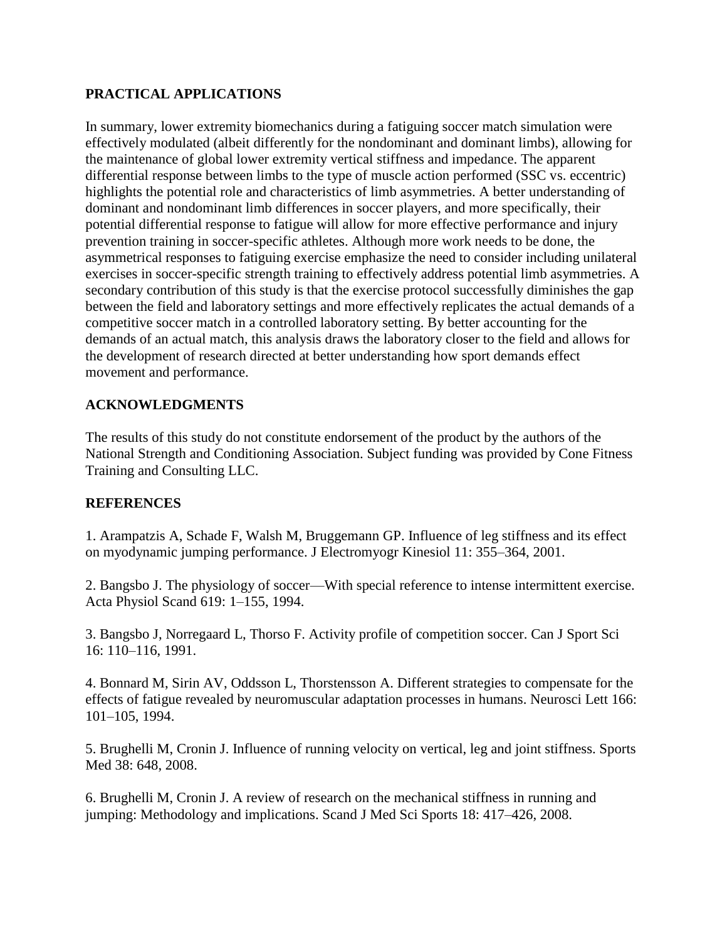# **PRACTICAL APPLICATIONS**

In summary, lower extremity biomechanics during a fatiguing soccer match simulation were effectively modulated (albeit differently for the nondominant and dominant limbs), allowing for the maintenance of global lower extremity vertical stiffness and impedance. The apparent differential response between limbs to the type of muscle action performed (SSC vs. eccentric) highlights the potential role and characteristics of limb asymmetries. A better understanding of dominant and nondominant limb differences in soccer players, and more specifically, their potential differential response to fatigue will allow for more effective performance and injury prevention training in soccer-specific athletes. Although more work needs to be done, the asymmetrical responses to fatiguing exercise emphasize the need to consider including unilateral exercises in soccer-specific strength training to effectively address potential limb asymmetries. A secondary contribution of this study is that the exercise protocol successfully diminishes the gap between the field and laboratory settings and more effectively replicates the actual demands of a competitive soccer match in a controlled laboratory setting. By better accounting for the demands of an actual match, this analysis draws the laboratory closer to the field and allows for the development of research directed at better understanding how sport demands effect movement and performance.

# **ACKNOWLEDGMENTS**

The results of this study do not constitute endorsement of the product by the authors of the National Strength and Conditioning Association. Subject funding was provided by Cone Fitness Training and Consulting LLC.

# **REFERENCES**

1. Arampatzis A, Schade F, Walsh M, Bruggemann GP. Influence of leg stiffness and its effect on myodynamic jumping performance. J Electromyogr Kinesiol 11: 355–364, 2001.

2. Bangsbo J. The physiology of soccer—With special reference to intense intermittent exercise. Acta Physiol Scand 619: 1–155, 1994.

3. Bangsbo J, Norregaard L, Thorso F. Activity profile of competition soccer. Can J Sport Sci 16: 110–116, 1991.

4. Bonnard M, Sirin AV, Oddsson L, Thorstensson A. Different strategies to compensate for the effects of fatigue revealed by neuromuscular adaptation processes in humans. Neurosci Lett 166: 101–105, 1994.

5. Brughelli M, Cronin J. Influence of running velocity on vertical, leg and joint stiffness. Sports Med 38: 648, 2008.

6. Brughelli M, Cronin J. A review of research on the mechanical stiffness in running and jumping: Methodology and implications. Scand J Med Sci Sports 18: 417–426, 2008.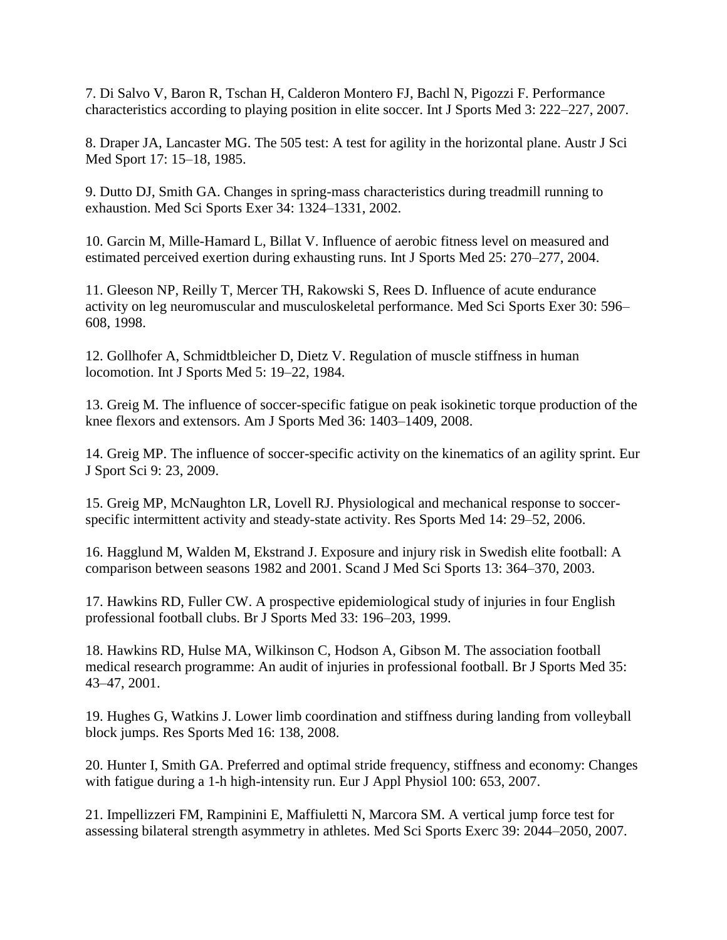7. Di Salvo V, Baron R, Tschan H, Calderon Montero FJ, Bachl N, Pigozzi F. Performance characteristics according to playing position in elite soccer. Int J Sports Med 3: 222–227, 2007.

8. Draper JA, Lancaster MG. The 505 test: A test for agility in the horizontal plane. Austr J Sci Med Sport 17: 15–18, 1985.

9. Dutto DJ, Smith GA. Changes in spring-mass characteristics during treadmill running to exhaustion. Med Sci Sports Exer 34: 1324–1331, 2002.

10. Garcin M, Mille-Hamard L, Billat V. Influence of aerobic fitness level on measured and estimated perceived exertion during exhausting runs. Int J Sports Med 25: 270–277, 2004.

11. Gleeson NP, Reilly T, Mercer TH, Rakowski S, Rees D. Influence of acute endurance activity on leg neuromuscular and musculoskeletal performance. Med Sci Sports Exer 30: 596– 608, 1998.

12. Gollhofer A, Schmidtbleicher D, Dietz V. Regulation of muscle stiffness in human locomotion. Int J Sports Med 5: 19–22, 1984.

13. Greig M. The influence of soccer-specific fatigue on peak isokinetic torque production of the knee flexors and extensors. Am J Sports Med 36: 1403–1409, 2008.

14. Greig MP. The influence of soccer-specific activity on the kinematics of an agility sprint. Eur J Sport Sci 9: 23, 2009.

15. Greig MP, McNaughton LR, Lovell RJ. Physiological and mechanical response to soccerspecific intermittent activity and steady-state activity. Res Sports Med 14: 29–52, 2006.

16. Hagglund M, Walden M, Ekstrand J. Exposure and injury risk in Swedish elite football: A comparison between seasons 1982 and 2001. Scand J Med Sci Sports 13: 364–370, 2003.

17. Hawkins RD, Fuller CW. A prospective epidemiological study of injuries in four English professional football clubs. Br J Sports Med 33: 196–203, 1999.

18. Hawkins RD, Hulse MA, Wilkinson C, Hodson A, Gibson M. The association football medical research programme: An audit of injuries in professional football. Br J Sports Med 35: 43–47, 2001.

19. Hughes G, Watkins J. Lower limb coordination and stiffness during landing from volleyball block jumps. Res Sports Med 16: 138, 2008.

20. Hunter I, Smith GA. Preferred and optimal stride frequency, stiffness and economy: Changes with fatigue during a 1-h high-intensity run. Eur J Appl Physiol 100: 653, 2007.

21. Impellizzeri FM, Rampinini E, Maffiuletti N, Marcora SM. A vertical jump force test for assessing bilateral strength asymmetry in athletes. Med Sci Sports Exerc 39: 2044–2050, 2007.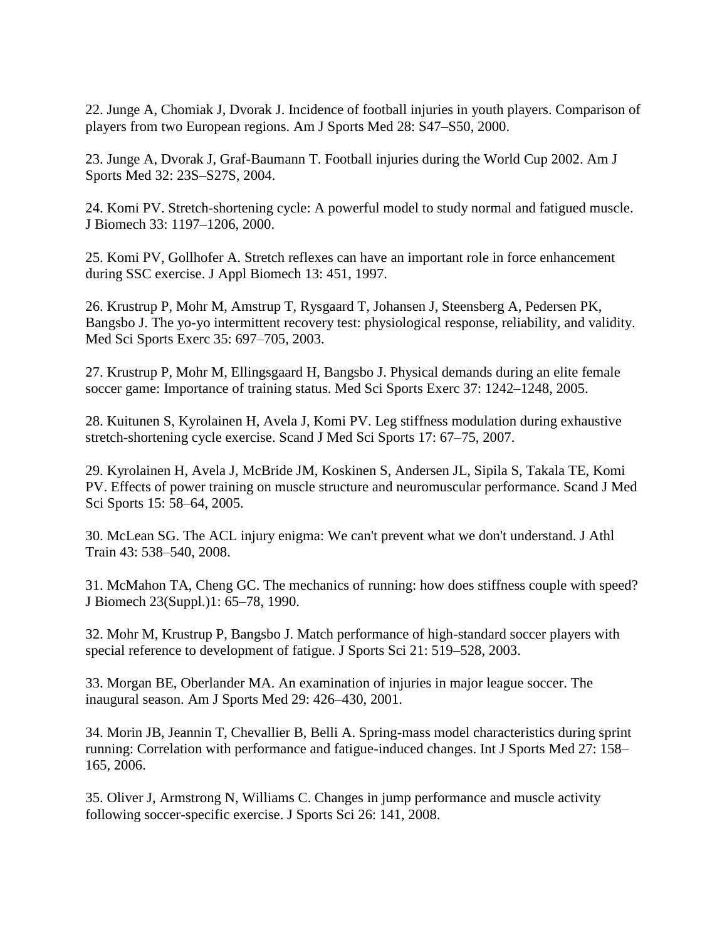22. Junge A, Chomiak J, Dvorak J. Incidence of football injuries in youth players. Comparison of players from two European regions. Am J Sports Med 28: S47–S50, 2000.

23. Junge A, Dvorak J, Graf-Baumann T. Football injuries during the World Cup 2002. Am J Sports Med 32: 23S–S27S, 2004.

24. Komi PV. Stretch-shortening cycle: A powerful model to study normal and fatigued muscle. J Biomech 33: 1197–1206, 2000.

25. Komi PV, Gollhofer A. Stretch reflexes can have an important role in force enhancement during SSC exercise. J Appl Biomech 13: 451, 1997.

26. Krustrup P, Mohr M, Amstrup T, Rysgaard T, Johansen J, Steensberg A, Pedersen PK, Bangsbo J. The yo-yo intermittent recovery test: physiological response, reliability, and validity. Med Sci Sports Exerc 35: 697–705, 2003.

27. Krustrup P, Mohr M, Ellingsgaard H, Bangsbo J. Physical demands during an elite female soccer game: Importance of training status. Med Sci Sports Exerc 37: 1242–1248, 2005.

28. Kuitunen S, Kyrolainen H, Avela J, Komi PV. Leg stiffness modulation during exhaustive stretch-shortening cycle exercise. Scand J Med Sci Sports 17: 67–75, 2007.

29. Kyrolainen H, Avela J, McBride JM, Koskinen S, Andersen JL, Sipila S, Takala TE, Komi PV. Effects of power training on muscle structure and neuromuscular performance. Scand J Med Sci Sports 15: 58–64, 2005.

30. McLean SG. The ACL injury enigma: We can't prevent what we don't understand. J Athl Train 43: 538–540, 2008.

31. McMahon TA, Cheng GC. The mechanics of running: how does stiffness couple with speed? J Biomech 23(Suppl.)1: 65–78, 1990.

32. Mohr M, Krustrup P, Bangsbo J. Match performance of high-standard soccer players with special reference to development of fatigue. J Sports Sci 21: 519–528, 2003.

33. Morgan BE, Oberlander MA. An examination of injuries in major league soccer. The inaugural season. Am J Sports Med 29: 426–430, 2001.

34. Morin JB, Jeannin T, Chevallier B, Belli A. Spring-mass model characteristics during sprint running: Correlation with performance and fatigue-induced changes. Int J Sports Med 27: 158– 165, 2006.

35. Oliver J, Armstrong N, Williams C. Changes in jump performance and muscle activity following soccer-specific exercise. J Sports Sci 26: 141, 2008.